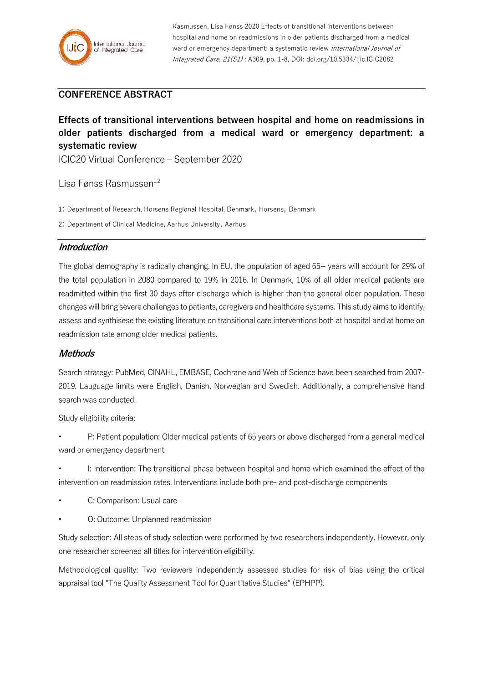

Rasmussen, Lisa Fønss 2020 Effects of transitional interventions between hospital and home on readmissions in older patients discharged from a medical ward or emergency department: a systematic review International Journal of Integrated Care, 21(S1) : A309, pp. 1-8, DOI: doi.org/10.5334/ijic.ICIC2082

# **CONFERENCE ABSTRACT**

# **Effects of transitional interventions between hospital and home on readmissions in older patients discharged from a medical ward or emergency department: a systematic review**

ICIC20 Virtual Conference – September 2020

Lisa Fønss Rasmussen<sup>1,2</sup>

1: Department of Research, Horsens Regional Hospital, Denmark, Horsens, Denmark

2: Department of Clinical Medicine, Aarhus University, Aarhus

#### **Introduction**

The global demography is radically changing. In EU, the population of aged 65+ years will account for 29% of the total population in 2080 compared to 19% in 2016. In Denmark, 10% of all older medical patients are readmitted within the first 30 days after discharge which is higher than the general older population. These changes will bring severe challenges to patients, caregivers and healthcare systems. This study aims to identify, assess and synthisese the existing literature on transitional care interventions both at hospital and at home on readmission rate among older medical patients.

#### **Methods**

Search strategy: PubMed, CINAHL, EMBASE, Cochrane and Web of Science have been searched from 2007- 2019. Lauguage limits were English, Danish, Norwegian and Swedish. Additionally, a comprehensive hand search was conducted.

Study eligibility criteria:

- P: Patient population: Older medical patients of 65 years or above discharged from a general medical ward or emergency department
- I: Intervention: The transitional phase between hospital and home which examined the effect of the intervention on readmission rates. Interventions include both pre- and post-discharge components
- C: Comparison: Usual care
- O: Outcome: Unplanned readmission

Study selection: All steps of study selection were performed by two researchers independently. However, only one researcher screened all titles for intervention eligibility.

Methodological quality: Two reviewers independently assessed studies for risk of bias using the critical appraisal tool "The Quality Assessment Tool for Quantitative Studies" (EPHPP).